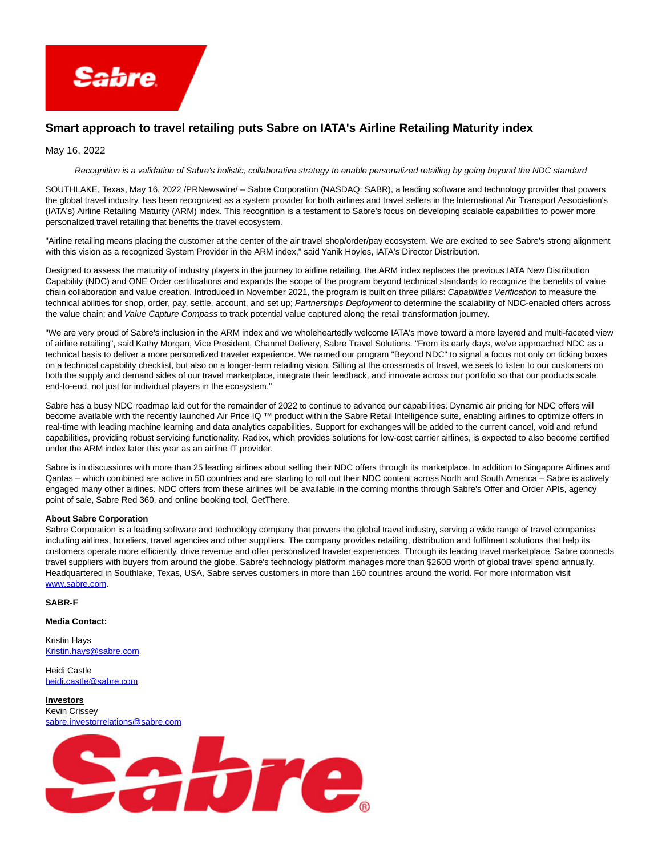

## **Smart approach to travel retailing puts Sabre on IATA's Airline Retailing Maturity index**

May 16, 2022

## Recognition is a validation of Sabre's holistic, collaborative strategy to enable personalized retailing by going beyond the NDC standard

SOUTHLAKE, Texas, May 16, 2022 /PRNewswire/ -- Sabre Corporation (NASDAQ: SABR), a leading software and technology provider that powers the global travel industry, has been recognized as a system provider for both airlines and travel sellers in the International Air Transport Association's (IATA's) Airline Retailing Maturity (ARM) index. This recognition is a testament to Sabre's focus on developing scalable capabilities to power more personalized travel retailing that benefits the travel ecosystem.

"Airline retailing means placing the customer at the center of the air travel shop/order/pay ecosystem. We are excited to see Sabre's strong alignment with this vision as a recognized System Provider in the ARM index," said Yanik Hoyles, IATA's Director Distribution.

Designed to assess the maturity of industry players in the journey to airline retailing, the ARM index replaces the previous IATA New Distribution Capability (NDC) and ONE Order certifications and expands the scope of the program beyond technical standards to recognize the benefits of value chain collaboration and value creation. Introduced in November 2021, the program is built on three pillars: Capabilities Verification to measure the technical abilities for shop, order, pay, settle, account, and set up; Partnerships Deployment to determine the scalability of NDC-enabled offers across the value chain; and Value Capture Compass to track potential value captured along the retail transformation journey.

"We are very proud of Sabre's inclusion in the ARM index and we wholeheartedly welcome IATA's move toward a more layered and multi-faceted view of airline retailing", said Kathy Morgan, Vice President, Channel Delivery, Sabre Travel Solutions. "From its early days, we've approached NDC as a technical basis to deliver a more personalized traveler experience. We named our program "Beyond NDC" to signal a focus not only on ticking boxes on a technical capability checklist, but also on a longer-term retailing vision. Sitting at the crossroads of travel, we seek to listen to our customers on both the supply and demand sides of our travel marketplace, integrate their feedback, and innovate across our portfolio so that our products scale end-to-end, not just for individual players in the ecosystem."

Sabre has a busy NDC roadmap laid out for the remainder of 2022 to continue to advance our capabilities. Dynamic air pricing for NDC offers will become available with the recently launched Air Price IQ ™ product within the Sabre Retail Intelligence suite, enabling airlines to optimize offers in real-time with leading machine learning and data analytics capabilities. Support for exchanges will be added to the current cancel, void and refund capabilities, providing robust servicing functionality. Radixx, which provides solutions for low-cost carrier airlines, is expected to also become certified under the ARM index later this year as an airline IT provider.

Sabre is in discussions with more than 25 leading airlines about selling their NDC offers through its marketplace. In addition to Singapore Airlines and Qantas – which combined are active in 50 countries and are starting to roll out their NDC content across North and South America – Sabre is actively engaged many other airlines. NDC offers from these airlines will be available in the coming months through Sabre's Offer and Order APIs, agency point of sale, Sabre Red 360, and online booking tool, GetThere.

## **About Sabre Corporation**

Sabre Corporation is a leading software and technology company that powers the global travel industry, serving a wide range of travel companies including airlines, hoteliers, travel agencies and other suppliers. The company provides retailing, distribution and fulfilment solutions that help its customers operate more efficiently, drive revenue and offer personalized traveler experiences. Through its leading travel marketplace, Sabre connects travel suppliers with buyers from around the globe. Sabre's technology platform manages more than \$260B worth of global travel spend annually. Headquartered in Southlake, Texas, USA, Sabre serves customers in more than 160 countries around the world. For more information visit [www.sabre.com.](https://c212.net/c/link/?t=0&l=en&o=3537466-1&h=1990359752&u=http%3A%2F%2Fwww.sabre.com%2F&a=www.sabre.com)

**SABR-F**

**Media Contact:**

Kristin Hays [Kristin.hays@sabre.com](mailto:Kristin.hays@sabre.com)

Heidi Castle [heidi.castle@sabre.com](mailto:heidi.castle@sabre.com)

**Investors** Kevin Crissey [sabre.investorrelations@sabre.com](mailto:sabre.investorrelations@sabre.com)